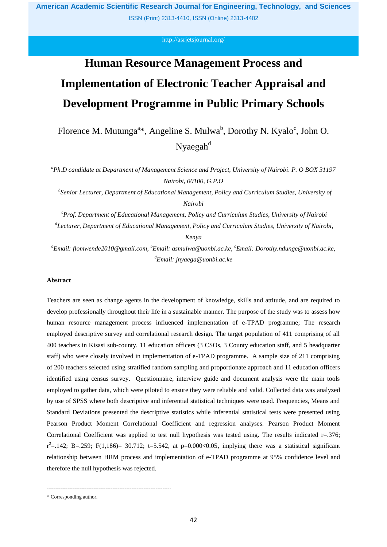ISSN (Print) 2313-4410, ISSN (Online) 2313-4402

<http://asrjetsjournal.org/>

# **Human Resource Management Process and Implementation of Electronic Teacher Appraisal and Development Programme in Public Primary Schools**

Florence M. Mutunga<sup>a\*</sup>, Angeline S. Mulwa<sup>b</sup>, Dorothy N. Kyalo<sup>c</sup>, John O.  $N$ yaegah $d$ 

*<sup>a</sup>Ph.D candidate at Department of Management Science and Project, University of Nairobi. P. O BOX 31197 Nairobi, 00100, G.P.O*

*b Senior Lecturer, Department of Educational Management, Policy and Curriculum Studies, University of Nairobi*

*<sup>c</sup>Prof. Department of Educational Management, Policy and Curriculum Studies, University of Nairobi d Lecturer, Department of Educational Management, Policy and Curriculum Studies, University of Nairobi,* 

# *Kenya*

*<sup>a</sup>Email: flomwende2010@gmail.com, <sup>b</sup>Email: asmulwa@uonbi.ac.ke, <sup>c</sup>Email: Dorothy.ndunge@uonbi.ac.ke, <sup>d</sup>Email: jnyaega@uonbi.ac.ke*

# **Abstract**

Teachers are seen as change agents in the development of knowledge, skills and attitude, and are required to develop professionally throughout their life in a sustainable manner. The purpose of the study was to assess how human resource management process influenced implementation of e-TPAD programme; The research employed descriptive survey and correlational research design. The target population of 411 comprising of all 400 teachers in Kisasi sub-county, 11 education officers (3 CSOs, 3 County education staff, and 5 headquarter staff) who were closely involved in implementation of e-TPAD programme. A sample size of 211 comprising of 200 teachers selected using stratified random sampling and proportionate approach and 11 education officers identified using census survey. Questionnaire, interview guide and document analysis were the main tools employed to gather data, which were piloted to ensure they were reliable and valid. Collected data was analyzed by use of SPSS where both descriptive and inferential statistical techniques were used. Frequencies, Means and Standard Deviations presented the descriptive statistics while inferential statistical tests were presented using Pearson Product Moment Correlational Coefficient and regression analyses. Pearson Product Moment Correlational Coefficient was applied to test null hypothesis was tested using. The results indicated  $r=0.376$ ;  $r^2 = 142$ ; B=.259; F(1,186)= 30.712; t=5.542, at p=0.000<0.05, implying there was a statistical significant relationship between HRM process and implementation of e-TPAD programme at 95% confidence level and therefore the null hypothesis was rejected.

------------------------------------------------------------------------

<sup>\*</sup> Corresponding author.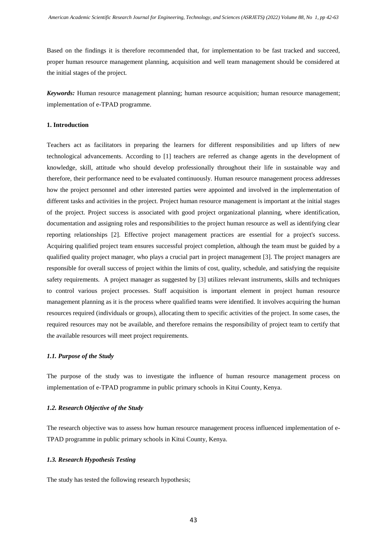Based on the findings it is therefore recommended that, for implementation to be fast tracked and succeed, proper human resource management planning, acquisition and well team management should be considered at the initial stages of the project.

*Keywords:* Human resource management planning; human resource acquisition; human resource management; implementation of e-TPAD programme.

# **1. Introduction**

Teachers act as facilitators in preparing the learners for different responsibilities and up lifters of new technological advancements. According to [1] teachers are referred as change agents in the development of knowledge, skill, attitude who should develop professionally throughout their life in sustainable way and therefore, their performance need to be evaluated continuously. Human resource management process addresses how the project personnel and other interested parties were appointed and involved in the implementation of different tasks and activities in the project. Project human resource management is important at the initial stages of the project. Project success is associated with good project organizational planning, where identification, documentation and assigning roles and responsibilities to the project human resource as well as identifying clear reporting relationships [2]. Effective project management practices are essential for a project's success. Acquiring qualified project team ensures successful project completion, although the team must be guided by a qualified quality project manager, who plays a crucial part in project management [3]. The project managers are responsible for overall success of project within the limits of cost, quality, schedule, and satisfying the requisite safety requirements. A project manager as suggested by [3] utilizes relevant instruments, skills and techniques to control various project processes. Staff acquisition is important element in project human resource management planning as it is the process where qualified teams were identified. It involves acquiring the human resources required (individuals or groups), allocating them to specific activities of the project. In some cases, the required resources may not be available, and therefore remains the responsibility of project team to certify that the available resources will meet project requirements.

# *1.1. Purpose of the Study*

The purpose of the study was to investigate the influence of human resource management process on implementation of e-TPAD programme in public primary schools in Kitui County, Kenya.

# *1.2. Research Objective of the Study*

The research objective was to assess how human resource management process influenced implementation of e-TPAD programme in public primary schools in Kitui County, Kenya.

# *1.3. Research Hypothesis Testing*

The study has tested the following research hypothesis;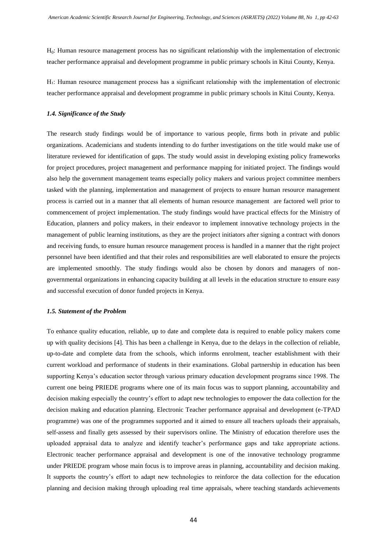H0: Human resource management process has no significant relationship with the implementation of electronic teacher performance appraisal and development programme in public primary schools in Kitui County, Kenya.

H $\cdot$ : Human resource management process has a significant relationship with the implementation of electronic teacher performance appraisal and development programme in public primary schools in Kitui County, Kenya.

# *1.4. Significance of the Study*

The research study findings would be of importance to various people, firms both in private and public organizations. Academicians and students intending to do further investigations on the title would make use of literature reviewed for identification of gaps. The study would assist in developing existing policy frameworks for project procedures, project management and performance mapping for initiated project. The findings would also help the government management teams especially policy makers and various project committee members tasked with the planning, implementation and management of projects to ensure human resource management process is carried out in a manner that all elements of human resource management are factored well prior to commencement of project implementation. The study findings would have practical effects for the Ministry of Education, planners and policy makers, in their endeavor to implement innovative technology projects in the management of public learning institutions, as they are the project initiators after signing a contract with donors and receiving funds, to ensure human resource management process is handled in a manner that the right project personnel have been identified and that their roles and responsibilities are well elaborated to ensure the projects are implemented smoothly. The study findings would also be chosen by donors and managers of nongovernmental organizations in enhancing capacity building at all levels in the education structure to ensure easy and successful execution of donor funded projects in Kenya.

#### *1.5. Statement of the Problem*

To enhance quality education, reliable, up to date and complete data is required to enable policy makers come up with quality decisions [4]. This has been a challenge in Kenya, due to the delays in the collection of reliable, up-to-date and complete data from the schools, which informs enrolment, teacher establishment with their current workload and performance of students in their examinations. Global partnership in education has been supporting Kenya's education sector through various primary education development programs since 1998. The current one being PRIEDE programs where one of its main focus was to support planning, accountability and decision making especially the country's effort to adapt new technologies to empower the data collection for the decision making and education planning. Electronic Teacher performance appraisal and development (e-TPAD programme) was one of the programmes supported and it aimed to ensure all teachers uploads their appraisals, self-assess and finally gets assessed by their supervisors online. The Ministry of education therefore uses the uploaded appraisal data to analyze and identify teacher's performance gaps and take appropriate actions. Electronic teacher performance appraisal and development is one of the innovative technology programme under PRIEDE program whose main focus is to improve areas in planning, accountability and decision making. It supports the country's effort to adapt new technologies to reinforce the data collection for the education planning and decision making through uploading real time appraisals, where teaching standards achievements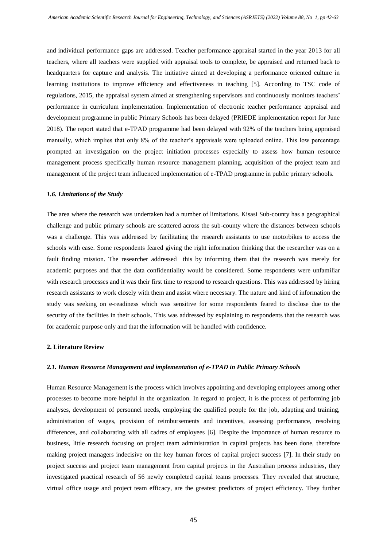and individual performance gaps are addressed. Teacher performance appraisal started in the year 2013 for all teachers, where all teachers were supplied with appraisal tools to complete, be appraised and returned back to headquarters for capture and analysis. The initiative aimed at developing a performance oriented culture in learning institutions to improve efficiency and effectiveness in teaching [5]. According to TSC code of regulations, 2015, the appraisal system aimed at strengthening supervisors and continuously monitors teachers' performance in curriculum implementation. Implementation of electronic teacher performance appraisal and development programme in public Primary Schools has been delayed (PRIEDE implementation report for June 2018). The report stated that e-TPAD programme had been delayed with 92% of the teachers being appraised manually, which implies that only 8% of the teacher's appraisals were uploaded online. This low percentage prompted an investigation on the project initiation processes especially to assess how human resource management process specifically human resource management planning, acquisition of the project team and management of the project team influenced implementation of e-TPAD programme in public primary schools.

#### *1.6. Limitations of the Study*

The area where the research was undertaken had a number of limitations. Kisasi Sub-county has a geographical challenge and public primary schools are scattered across the sub-county where the distances between schools was a challenge. This was addressed by facilitating the research assistants to use motorbikes to access the schools with ease. Some respondents feared giving the right information thinking that the researcher was on a fault finding mission. The researcher addressed this by informing them that the research was merely for academic purposes and that the data confidentiality would be considered. Some respondents were unfamiliar with research processes and it was their first time to respond to research questions. This was addressed by hiring research assistants to work closely with them and assist where necessary. The nature and kind of information the study was seeking on e-readiness which was sensitive for some respondents feared to disclose due to the security of the facilities in their schools. This was addressed by explaining to respondents that the research was for academic purpose only and that the information will be handled with confidence.

# **2. Literature Review**

# *2.1. Human Resource Management and implementation of e-TPAD in Public Primary Schools*

Human Resource Management is the process which involves appointing and developing employees among other processes to become more helpful in the organization. In regard to project, it is the process of performing job analyses, development of personnel needs, employing the qualified people for the job, adapting and training, administration of wages, provision of reimbursements and incentives, assessing performance, resolving differences, and collaborating with all cadres of employees [6]. Despite the importance of human resource to business, little research focusing on project team administration in capital projects has been done, therefore making project managers indecisive on the key human forces of capital project success [7]. In their study on project success and project team management from capital projects in the Australian process industries, they investigated practical research of 56 newly completed capital teams processes. They revealed that structure, virtual office usage and project team efficacy, are the greatest predictors of project efficiency. They further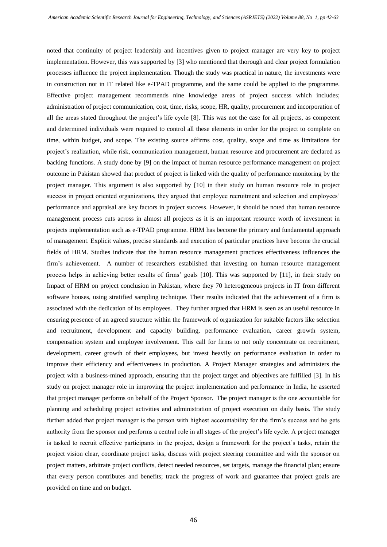noted that continuity of project leadership and incentives given to project manager are very key to project implementation. However, this was supported by [3] who mentioned that thorough and clear project formulation processes influence the project implementation. Though the study was practical in nature, the investments were in construction not in IT related like e-TPAD programme, and the same could be applied to the programme. Effective project management recommends nine knowledge areas of project success which includes; administration of project communication, cost, time, risks, scope, HR, quality, procurement and incorporation of all the areas stated throughout the project's life cycle [8]. This was not the case for all projects, as competent and determined individuals were required to control all these elements in order for the project to complete on time, within budget, and scope. The existing source affirms cost, quality, scope and time as limitations for project's realization, while risk, communication management, human resource and procurement are declared as backing functions. A study done by [9] on the impact of human resource performance management on project outcome in Pakistan showed that product of project is linked with the quality of performance monitoring by the project manager. This argument is also supported by [10] in their study on human resource role in project success in project oriented organizations, they argued that employee recruitment and selection and employees' performance and appraisal are key factors in project success. However, it should be noted that human resource management process cuts across in almost all projects as it is an important resource worth of investment in projects implementation such as e-TPAD programme. HRM has become the primary and fundamental approach of management. Explicit values, precise standards and execution of particular practices have become the crucial fields of HRM. Studies indicate that the human resource management practices effectiveness influences the firm's achievement. A number of researchers established that investing on human resource management process helps in achieving better results of firms' goals [10]. This was supported by [11], in their study on Impact of HRM on project conclusion in Pakistan, where they 70 heterogeneous projects in IT from different software houses, using stratified sampling technique. Their results indicated that the achievement of a firm is associated with the dedication of its employees. They further argued that HRM is seen as an useful resource in ensuring presence of an agreed structure within the framework of organization for suitable factors like selection and recruitment, development and capacity building, performance evaluation, career growth system, compensation system and employee involvement. This call for firms to not only concentrate on recruitment, development, career growth of their employees, but invest heavily on performance evaluation in order to improve their efficiency and effectiveness in production. A Project Manager strategies and administers the project with a business-mined approach, ensuring that the project target and objectives are fulfilled [3]. In his study on project manager role in improving the project implementation and performance in India, he asserted that project manager performs on behalf of the Project Sponsor. The project manager is the one accountable for planning and scheduling project activities and administration of project execution on daily basis. The study further added that project manager is the person with highest accountability for the firm's success and he gets authority from the sponsor and performs a central role in all stages of the project's life cycle. A project manager is tasked to recruit effective participants in the project, design a framework for the project's tasks, retain the project vision clear, coordinate project tasks, discuss with project steering committee and with the sponsor on project matters, arbitrate project conflicts, detect needed resources, set targets, manage the financial plan; ensure that every person contributes and benefits; track the progress of work and guarantee that project goals are provided on time and on budget.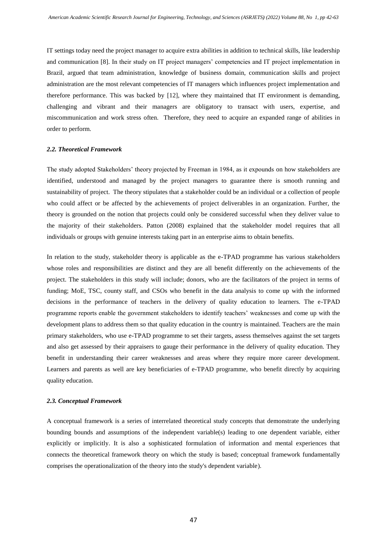IT settings today need the project manager to acquire extra abilities in addition to technical skills, like leadership and communication [8]. In their study on IT project managers' competencies and IT project implementation in Brazil, argued that team administration, knowledge of business domain, communication skills and project administration are the most relevant competencies of IT managers which influences project implementation and therefore performance. This was backed by [12], where they maintained that IT environment is demanding, challenging and vibrant and their managers are obligatory to transact with users, expertise, and miscommunication and work stress often. Therefore, they need to acquire an expanded range of abilities in order to perform.

# *2.2. Theoretical Framework*

The study adopted Stakeholders' theory projected by Freeman in 1984, as it expounds on how stakeholders are identified, understood and managed by the project managers to guarantee there is smooth running and sustainability of project. The theory stipulates that a stakeholder could be an individual or a collection of people who could affect or be affected by the achievements of project deliverables in an organization. Further, the theory is grounded on the notion that projects could only be considered successful when they deliver value to the majority of their stakeholders. Patton (2008) explained that the stakeholder model requires that all individuals or groups with genuine interests taking part in an enterprise aims to obtain benefits.

In relation to the study, stakeholder theory is applicable as the e-TPAD programme has various stakeholders whose roles and responsibilities are distinct and they are all benefit differently on the achievements of the project. The stakeholders in this study will include; donors, who are the facilitators of the project in terms of funding; MoE, TSC, county staff, and CSOs who benefit in the data analysis to come up with the informed decisions in the performance of teachers in the delivery of quality education to learners. The e-TPAD programme reports enable the government stakeholders to identify teachers' weaknesses and come up with the development plans to address them so that quality education in the country is maintained. Teachers are the main primary stakeholders, who use e-TPAD programme to set their targets, assess themselves against the set targets and also get assessed by their appraisers to gauge their performance in the delivery of quality education. They benefit in understanding their career weaknesses and areas where they require more career development. Learners and parents as well are key beneficiaries of e-TPAD programme, who benefit directly by acquiring quality education.

# *2.3. Conceptual Framework*

A conceptual framework is a series of interrelated theoretical study concepts that demonstrate the underlying bounding bounds and assumptions of the independent variable(s) leading to one dependent variable, either explicitly or implicitly. It is also a sophisticated formulation of information and mental experiences that connects the theoretical framework theory on which the study is based; conceptual framework fundamentally comprises the operationalization of the theory into the study's dependent variable).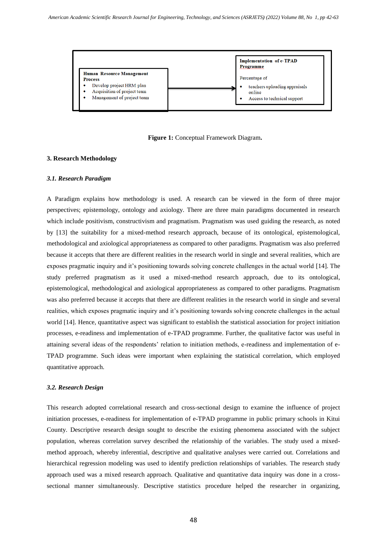

**Figure 1:** Conceptual Framework Diagram**.**

# **3. Research Methodology**

# *3.1. Research Paradigm*

A Paradigm explains how methodology is used. A research can be viewed in the form of three major perspectives; epistemology, ontology and axiology. There are three main paradigms documented in research which include positivism, constructivism and pragmatism. Pragmatism was used guiding the research, as noted by [13] the suitability for a mixed-method research approach, because of its ontological, epistemological, methodological and axiological appropriateness as compared to other paradigms. Pragmatism was also preferred because it accepts that there are different realities in the research world in single and several realities, which are exposes pragmatic inquiry and it's positioning towards solving concrete challenges in the actual world [14]. The study preferred pragmatism as it used a mixed-method research approach, due to its ontological, epistemological, methodological and axiological appropriateness as compared to other paradigms. Pragmatism was also preferred because it accepts that there are different realities in the research world in single and several realities, which exposes pragmatic inquiry and it's positioning towards solving concrete challenges in the actual world [14]. Hence, quantitative aspect was significant to establish the statistical association for project initiation processes, e-readiness and implementation of e-TPAD programme. Further, the qualitative factor was useful in attaining several ideas of the respondents' relation to initiation methods, e-readiness and implementation of e-TPAD programme. Such ideas were important when explaining the statistical correlation, which employed quantitative approach.

# *3.2. Research Design*

This research adopted correlational research and cross-sectional design to examine the influence of project initiation processes, e-readiness for implementation of e-TPAD programme in public primary schools in Kitui County. Descriptive research design sought to describe the existing phenomena associated with the subject population, whereas correlation survey described the relationship of the variables. The study used a mixedmethod approach, whereby inferential, descriptive and qualitative analyses were carried out. Correlations and hierarchical regression modeling was used to identify prediction relationships of variables. The research study approach used was a mixed research approach. Qualitative and quantitative data inquiry was done in a crosssectional manner simultaneously. Descriptive statistics procedure helped the researcher in organizing,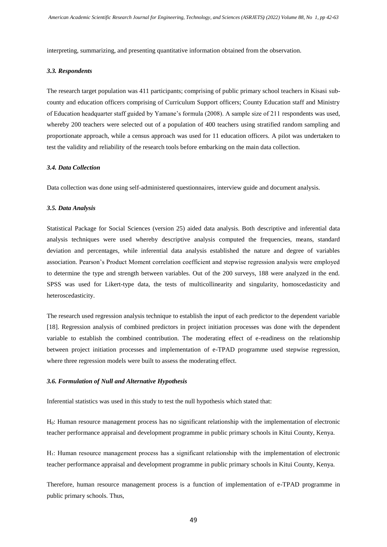interpreting, summarizing, and presenting quantitative information obtained from the observation.

#### *3.3. Respondents*

The research target population was 411 participants; comprising of public primary school teachers in Kisasi subcounty and education officers comprising of Curriculum Support officers; County Education staff and Ministry of Education headquarter staff guided by Yamane's formula (2008). A sample size of 211 respondents was used, whereby 200 teachers were selected out of a population of 400 teachers using stratified random sampling and proportionate approach, while a census approach was used for 11 education officers. A pilot was undertaken to test the validity and reliability of the research tools before embarking on the main data collection.

# *3.4. Data Collection*

Data collection was done using self-administered questionnaires, interview guide and document analysis.

#### *3.5. Data Analysis*

Statistical Package for Social Sciences (version 25) aided data analysis. Both descriptive and inferential data analysis techniques were used whereby descriptive analysis computed the frequencies, means, standard deviation and percentages, while inferential data analysis established the nature and degree of variables association. Pearson's Product Moment correlation coefficient and stepwise regression analysis were employed to determine the type and strength between variables. Out of the 200 surveys, 188 were analyzed in the end. SPSS was used for Likert-type data, the tests of multicollinearity and singularity, homoscedasticity and heteroscedasticity.

The research used regression analysis technique to establish the input of each predictor to the dependent variable [18]. Regression analysis of combined predictors in project initiation processes was done with the dependent variable to establish the combined contribution. The moderating effect of e-readiness on the relationship between project initiation processes and implementation of e-TPAD programme used stepwise regression, where three regression models were built to assess the moderating effect.

#### *3.6. Formulation of Null and Alternative Hypothesis*

Inferential statistics was used in this study to test the null hypothesis which stated that:

H0: Human resource management process has no significant relationship with the implementation of electronic teacher performance appraisal and development programme in public primary schools in Kitui County, Kenya.

H $\cdot$ : Human resource management process has a significant relationship with the implementation of electronic teacher performance appraisal and development programme in public primary schools in Kitui County, Kenya.

Therefore, human resource management process is a function of implementation of e-TPAD programme in public primary schools. Thus,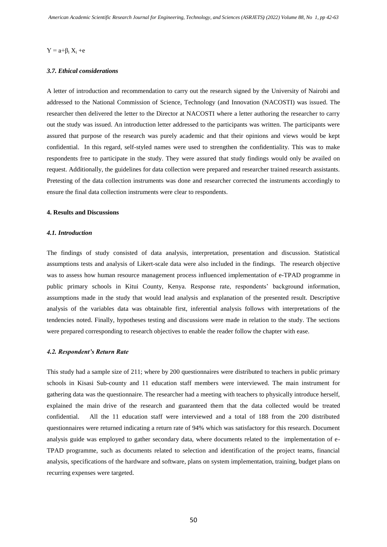#### $Y = a + \beta_i X_i + e$

# *3.7. Ethical considerations*

A letter of introduction and recommendation to carry out the research signed by the University of Nairobi and addressed to the National Commission of Science, Technology (and Innovation (NACOSTI) was issued. The researcher then delivered the letter to the Director at NACOSTI where a letter authoring the researcher to carry out the study was issued. An introduction letter addressed to the participants was written. The participants were assured that purpose of the research was purely academic and that their opinions and views would be kept confidential. In this regard, self-styled names were used to strengthen the confidentiality. This was to make respondents free to participate in the study. They were assured that study findings would only be availed on request. Additionally, the guidelines for data collection were prepared and researcher trained research assistants. Pretesting of the data collection instruments was done and researcher corrected the instruments accordingly to ensure the final data collection instruments were clear to respondents.

#### **4. Results and Discussions**

#### *4.1. Introduction*

The findings of study consisted of data analysis, interpretation, presentation and discussion. Statistical assumptions tests and analysis of Likert-scale data were also included in the findings. The research objective was to assess how human resource management process influenced implementation of e-TPAD programme in public primary schools in Kitui County, Kenya. Response rate, respondents' background information, assumptions made in the study that would lead analysis and explanation of the presented result. Descriptive analysis of the variables data was obtainable first, inferential analysis follows with interpretations of the tendencies noted. Finally, hypotheses testing and discussions were made in relation to the study. The sections were prepared corresponding to research objectives to enable the reader follow the chapter with ease.

# *4.2. Respondent's Return Rate*

This study had a sample size of 211; where by 200 questionnaires were distributed to teachers in public primary schools in Kisasi Sub-county and 11 education staff members were interviewed. The main instrument for gathering data was the questionnaire. The researcher had a meeting with teachers to physically introduce herself, explained the main drive of the research and guaranteed them that the data collected would be treated confidential. All the 11 education staff were interviewed and a total of 188 from the 200 distributed questionnaires were returned indicating a return rate of 94% which was satisfactory for this research. Document analysis guide was employed to gather secondary data, where documents related to the implementation of e-TPAD programme, such as documents related to selection and identification of the project teams, financial analysis, specifications of the hardware and software, plans on system implementation, training, budget plans on recurring expenses were targeted.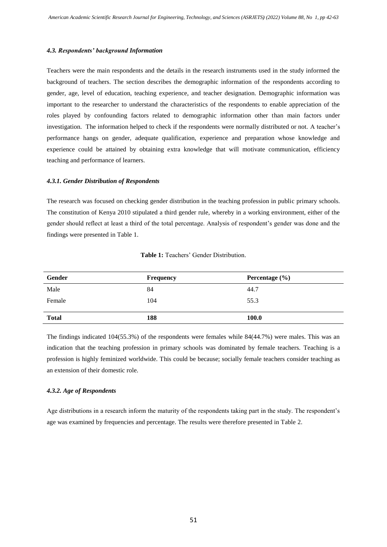# *4.3. Respondents' background Information*

Teachers were the main respondents and the details in the research instruments used in the study informed the background of teachers. The section describes the demographic information of the respondents according to gender, age, level of education, teaching experience, and teacher designation. Demographic information was important to the researcher to understand the characteristics of the respondents to enable appreciation of the roles played by confounding factors related to demographic information other than main factors under investigation. The information helped to check if the respondents were normally distributed or not. A teacher's performance hangs on gender, adequate qualification, experience and preparation whose knowledge and experience could be attained by obtaining extra knowledge that will motivate communication, efficiency teaching and performance of learners.

# *4.3.1. Gender Distribution of Respondents*

The research was focused on checking gender distribution in the teaching profession in public primary schools. The constitution of Kenya 2010 stipulated a third gender rule, whereby in a working environment, either of the gender should reflect at least a third of the total percentage. Analysis of respondent's gender was done and the findings were presented in Table 1.

| Gender       | <b>Frequency</b> | Percentage $(\% )$ |
|--------------|------------------|--------------------|
| Male         | 84               | 44.7               |
| Female       | 104              | 55.3               |
|              |                  |                    |
| <b>Total</b> | 188              | 100.0              |
|              |                  |                    |

#### **Table 1:** Teachers' Gender Distribution.

The findings indicated 104(55.3%) of the respondents were females while 84(44.7%) were males. This was an indication that the teaching profession in primary schools was dominated by female teachers. Teaching is a profession is highly feminized worldwide. This could be because; socially female teachers consider teaching as an extension of their domestic role.

## *4.3.2. Age of Respondents*

Age distributions in a research inform the maturity of the respondents taking part in the study. The respondent's age was examined by frequencies and percentage. The results were therefore presented in Table 2.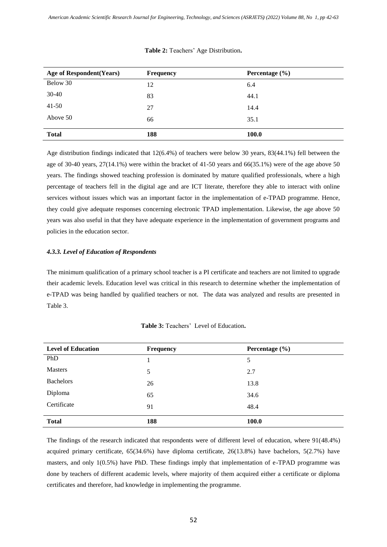| Age of Respondent (Years) | <b>Frequency</b> | Percentage $(\% )$ |  |  |  |
|---------------------------|------------------|--------------------|--|--|--|
| Below 30                  | 12               | 6.4                |  |  |  |
| 30-40                     | 83               | 44.1               |  |  |  |
| $41 - 50$                 | 27               | 14.4               |  |  |  |
| Above 50                  | 66               | 35.1               |  |  |  |
| <b>Total</b>              | 188              | <b>100.0</b>       |  |  |  |

# **Table 2:** Teachers' Age Distribution**.**

Age distribution findings indicated that 12(6.4%) of teachers were below 30 years, 83(44.1%) fell between the age of 30-40 years, 27(14.1%) were within the bracket of 41-50 years and 66(35.1%) were of the age above 50 years. The findings showed teaching profession is dominated by mature qualified professionals, where a high percentage of teachers fell in the digital age and are ICT literate, therefore they able to interact with online services without issues which was an important factor in the implementation of e-TPAD programme. Hence, they could give adequate responses concerning electronic TPAD implementation. Likewise, the age above 50 years was also useful in that they have adequate experience in the implementation of government programs and policies in the education sector.

# *4.3.3. Level of Education of Respondents*

The minimum qualification of a primary school teacher is a PI certificate and teachers are not limited to upgrade their academic levels. Education level was critical in this research to determine whether the implementation of e-TPAD was being handled by qualified teachers or not. The data was analyzed and results are presented in Table 3.

| <b>Level of Education</b> | <b>Frequency</b> | Percentage $(\% )$ |  |  |  |
|---------------------------|------------------|--------------------|--|--|--|
| PhD                       |                  | 5                  |  |  |  |
| <b>Masters</b>            | 5                | 2.7                |  |  |  |
| <b>Bachelors</b>          | 26               | 13.8               |  |  |  |
| Diploma                   | 65               | 34.6               |  |  |  |
| Certificate               | 91               | 48.4               |  |  |  |
| <b>Total</b>              | 188              | <b>100.0</b>       |  |  |  |

#### **Table 3:** Teachers' Level of Education**.**

The findings of the research indicated that respondents were of different level of education, where 91(48.4%) acquired primary certificate, 65(34.6%) have diploma certificate, 26(13.8%) have bachelors, 5(2.7%) have masters, and only 1(0.5%) have PhD. These findings imply that implementation of e-TPAD programme was done by teachers of different academic levels, where majority of them acquired either a certificate or diploma certificates and therefore, had knowledge in implementing the programme.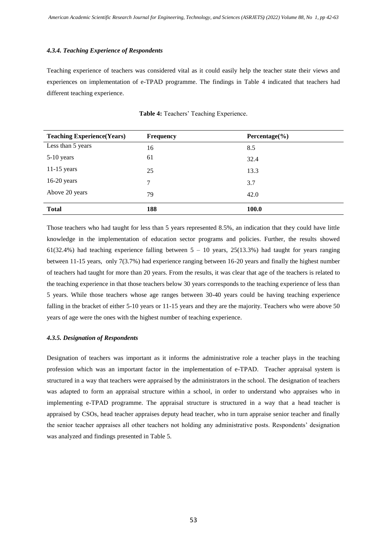#### *4.3.4. Teaching Experience of Respondents*

Teaching experience of teachers was considered vital as it could easily help the teacher state their views and experiences on implementation of e-TPAD programme. The findings in Table 4 indicated that teachers had different teaching experience.

| <b>Teaching Experience (Years)</b> | <b>Frequency</b> | Percentage $(\% )$ |  |  |  |
|------------------------------------|------------------|--------------------|--|--|--|
| Less than 5 years                  | 16               | 8.5                |  |  |  |
| 5-10 years                         | 61               | 32.4               |  |  |  |
| $11-15$ years                      | 25               | 13.3               |  |  |  |
| $16-20$ years                      | 7                | 3.7                |  |  |  |
| Above 20 years                     | 79               | 42.0               |  |  |  |
| <b>Total</b>                       | 188              | 100.0              |  |  |  |

**Table 4:** Teachers' Teaching Experience.

Those teachers who had taught for less than 5 years represented 8.5%, an indication that they could have little knowledge in the implementation of education sector programs and policies. Further, the results showed  $61(32.4%)$  had teaching experience falling between  $5 - 10$  years,  $25(13.3%)$  had taught for years ranging between 11-15 years, only 7(3.7%) had experience ranging between 16-20 years and finally the highest number of teachers had taught for more than 20 years. From the results, it was clear that age of the teachers is related to the teaching experience in that those teachers below 30 years corresponds to the teaching experience of less than 5 years. While those teachers whose age ranges between 30-40 years could be having teaching experience falling in the bracket of either 5-10 years or 11-15 years and they are the majority. Teachers who were above 50 years of age were the ones with the highest number of teaching experience.

# *4.3.5. Designation of Respondents*

Designation of teachers was important as it informs the administrative role a teacher plays in the teaching profession which was an important factor in the implementation of e-TPAD. Teacher appraisal system is structured in a way that teachers were appraised by the administrators in the school. The designation of teachers was adapted to form an appraisal structure within a school, in order to understand who appraises who in implementing e-TPAD programme. The appraisal structure is structured in a way that a head teacher is appraised by CSOs, head teacher appraises deputy head teacher, who in turn appraise senior teacher and finally the senior teacher appraises all other teachers not holding any administrative posts. Respondents' designation was analyzed and findings presented in Table 5.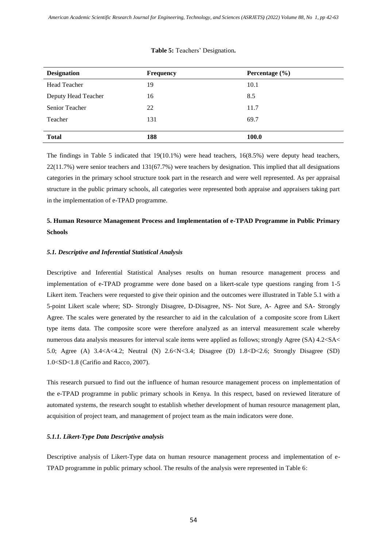| <b>Designation</b>    | <b>Frequency</b> | Percentage $(\% )$ |  |  |  |
|-----------------------|------------------|--------------------|--|--|--|
| <b>Head Teacher</b>   | 19               | 10.1               |  |  |  |
| Deputy Head Teacher   | 16               | 8.5                |  |  |  |
| <b>Senior Teacher</b> | 22               | 11.7               |  |  |  |
| Teacher               | 131              | 69.7               |  |  |  |
|                       |                  |                    |  |  |  |
| <b>Total</b>          | 188              | 100.0              |  |  |  |

#### **Table 5:** Teachers' Designation**.**

The findings in Table 5 indicated that 19(10.1%) were head teachers, 16(8.5%) were deputy head teachers, 22(11.7%) were senior teachers and 131(67.7%) were teachers by designation. This implied that all designations categories in the primary school structure took part in the research and were well represented. As per appraisal structure in the public primary schools, all categories were represented both appraise and appraisers taking part in the implementation of e-TPAD programme.

# **5. Human Resource Management Process and Implementation of e-TPAD Programme in Public Primary Schools**

# *5.1. Descriptive and Inferential Statistical Analysis*

Descriptive and Inferential Statistical Analyses results on human resource management process and implementation of e-TPAD programme were done based on a likert-scale type questions ranging from 1-5 Likert item. Teachers were requested to give their opinion and the outcomes were illustrated in Table 5.1 with a 5-point Likert scale where; SD- Strongly Disagree, D-Disagree, NS- Not Sure, A- Agree and SA- Strongly Agree. The scales were generated by the researcher to aid in the calculation of a composite score from Likert type items data. The composite score were therefore analyzed as an interval measurement scale whereby numerous data analysis measures for interval scale items were applied as follows; strongly Agree (SA) 4.2<SA< 5.0; Agree (A) 3.4<A<4.2; Neutral (N) 2.6<N<3.4; Disagree (D) 1.8<D<2.6; Strongly Disagree (SD) 1.0<SD<1.8 (Carifio and Racco, 2007).

This research pursued to find out the influence of human resource management process on implementation of the e-TPAD programme in public primary schools in Kenya. In this respect, based on reviewed literature of automated systems, the research sought to establish whether development of human resource management plan, acquisition of project team, and management of project team as the main indicators were done.

# *5.1.1. Likert-Type Data Descriptive analysis*

Descriptive analysis of Likert-Type data on human resource management process and implementation of e-TPAD programme in public primary school. The results of the analysis were represented in Table 6: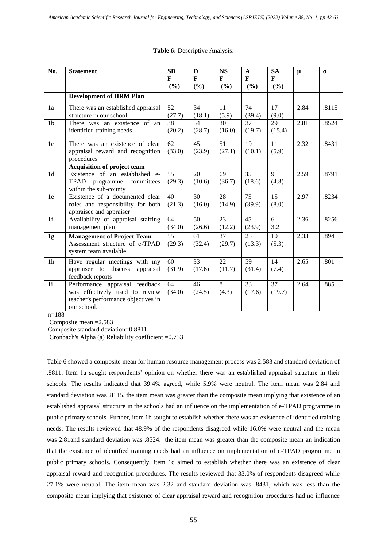| No.             | <b>Statement</b>                                                                                                       | <b>SD</b><br>F            | D<br>F                    | <b>NS</b><br>F            | $\mathbf{A}$<br>$\mathbf{F}$ | <b>SA</b><br>F           | $\mu$ | $\sigma$ |
|-----------------|------------------------------------------------------------------------------------------------------------------------|---------------------------|---------------------------|---------------------------|------------------------------|--------------------------|-------|----------|
|                 |                                                                                                                        | (%)                       | (%)                       | (%)                       | (%)                          | (%)                      |       |          |
|                 | <b>Development of HRM Plan</b>                                                                                         |                           |                           |                           |                              |                          |       |          |
| 1a              | There was an established appraisal<br>structure in our school                                                          | 52<br>(27.7)              | 34<br>(18.1)              | 11<br>(5.9)               | 74<br>(39.4)                 | $\overline{17}$<br>(9.0) | 2.84  | .8115    |
| 1 <sub>b</sub>  | There was an existence of an<br>identified training needs                                                              | $\overline{38}$<br>(20.2) | 54<br>(28.7)              | 30<br>(16.0)              | $\overline{37}$<br>(19.7)    | 29<br>(15.4)             | 2.81  | .8524    |
| $1c$            | There was an existence of clear<br>appraisal reward and recognition<br>procedures                                      | $\overline{62}$<br>(33.0) | $\overline{45}$<br>(23.9) | $\overline{51}$<br>(27.1) | 19<br>(10.1)                 | 11<br>(5.9)              | 2.32  | .8431    |
| 1 <sub>d</sub>  | Acquisition of project team<br>Existence of an established e-<br>TPAD programme committees<br>within the sub-county    | 55<br>(29.3)              | 20<br>(10.6)              | 69<br>(36.7)              | 35<br>(18.6)                 | 9<br>(4.8)               | 2.59  | .8791    |
| 1e              | Existence of a documented clear<br>roles and responsibility for both<br>appraisee and appraiser                        | 40<br>(21.3)              | 30<br>(16.0)              | 28<br>(14.9)              | 75<br>(39.9)                 | 15<br>(8.0)              | 2.97  | .8234    |
| $\overline{1f}$ | Availability of appraisal staffing<br>management plan                                                                  | $\overline{64}$<br>(34.0) | $\overline{50}$<br>(26.6) | $\overline{23}$<br>(12.2) | 45<br>(23.9)                 | 6<br>3.2                 | 2.36  | .8256    |
| 1g              | <b>Management of Project Team</b><br>Assessment structure of e-TPAD<br>system team available                           | 55<br>(29.3)              | 61<br>(32.4)              | 37<br>(29.7)              | 25<br>(13.3)                 | 10<br>(5.3)              | 2.33  | .894     |
| 1 <sub>h</sub>  | Have regular meetings with my<br>appraiser to<br>discuss<br>appraisal<br>feedback reports                              | 60<br>(31.9)              | 33<br>(17.6)              | 22<br>(11.7)              | 59<br>(31.4)                 | 14<br>(7.4)              | 2.65  | .801     |
| $\overline{1i}$ | Performance appraisal feedback<br>was effectively used to review<br>teacher's performance objectives in<br>our school. | 64<br>(34.0)              | 46<br>(24.5)              | 8<br>(4.3)                | $\overline{33}$<br>(17.6)    | 37<br>(19.7)             | 2.64  | .885     |
| $n=188$         | Composite mean $=2.583$                                                                                                |                           |                           |                           |                              |                          |       |          |

# **Table 6:** Descriptive Analysis.

Composite standard deviation=0.8811

Cronbach's Alpha (a) Reliability coefficient =0.733

Table 6 showed a composite mean for human resource management process was 2.583 and standard deviation of .8811. Item 1a sought respondents' opinion on whether there was an established appraisal structure in their schools. The results indicated that 39.4% agreed, while 5.9% were neutral. The item mean was 2.84 and standard deviation was .8115. the item mean was greater than the composite mean implying that existence of an established appraisal structure in the schools had an influence on the implementation of e-TPAD programme in public primary schools. Further, item 1b sought to establish whether there was an existence of identified training needs. The results reviewed that 48.9% of the respondents disagreed while 16.0% were neutral and the mean was 2.81and standard deviation was .8524. the item mean was greater than the composite mean an indication that the existence of identified training needs had an influence on implementation of e-TPAD programme in public primary schools. Consequently, item 1c aimed to establish whether there was an existence of clear appraisal reward and recognition procedures. The results reviewed that 33.0% of respondents disagreed while 27.1% were neutral. The item mean was 2.32 and standard deviation was .8431, which was less than the composite mean implying that existence of clear appraisal reward and recognition procedures had no influence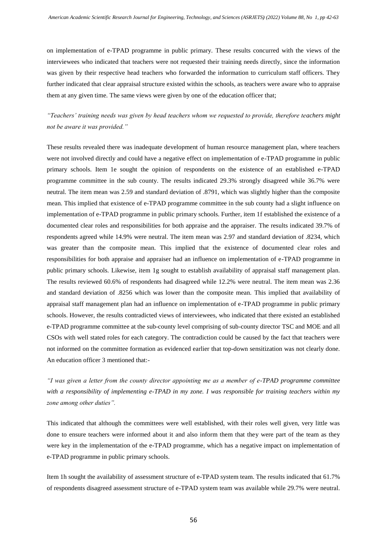on implementation of e-TPAD programme in public primary. These results concurred with the views of the interviewees who indicated that teachers were not requested their training needs directly, since the information was given by their respective head teachers who forwarded the information to curriculum staff officers. They further indicated that clear appraisal structure existed within the schools, as teachers were aware who to appraise them at any given time. The same views were given by one of the education officer that;

*"Teachers' training needs was given by head teachers whom we requested to provide, therefore teachers might not be aware it was provided."*

These results revealed there was inadequate development of human resource management plan, where teachers were not involved directly and could have a negative effect on implementation of e-TPAD programme in public primary schools. Item 1e sought the opinion of respondents on the existence of an established e-TPAD programme committee in the sub county. The results indicated 29.3% strongly disagreed while 36.7% were neutral. The item mean was 2.59 and standard deviation of .8791, which was slightly higher than the composite mean. This implied that existence of e-TPAD programme committee in the sub county had a slight influence on implementation of e-TPAD programme in public primary schools. Further, item 1f established the existence of a documented clear roles and responsibilities for both appraise and the appraiser. The results indicated 39.7% of respondents agreed while 14.9% were neutral. The item mean was 2.97 and standard deviation of .8234, which was greater than the composite mean. This implied that the existence of documented clear roles and responsibilities for both appraise and appraiser had an influence on implementation of e-TPAD programme in public primary schools. Likewise, item 1g sought to establish availability of appraisal staff management plan. The results reviewed 60.6% of respondents had disagreed while 12.2% were neutral. The item mean was 2.36 and standard deviation of .8256 which was lower than the composite mean. This implied that availability of appraisal staff management plan had an influence on implementation of e-TPAD programme in public primary schools. However, the results contradicted views of interviewees, who indicated that there existed an established e-TPAD programme committee at the sub-county level comprising of sub-county director TSC and MOE and all CSOs with well stated roles for each category. The contradiction could be caused by the fact that teachers were not informed on the committee formation as evidenced earlier that top-down sensitization was not clearly done. An education officer 3 mentioned that:-

*"I was given a letter from the county director appointing me as a member of e-TPAD programme committee with a responsibility of implementing e-TPAD in my zone. I was responsible for training teachers within my zone among other duties".*

This indicated that although the committees were well established, with their roles well given, very little was done to ensure teachers were informed about it and also inform them that they were part of the team as they were key in the implementation of the e-TPAD programme, which has a negative impact on implementation of e-TPAD programme in public primary schools.

Item 1h sought the availability of assessment structure of e-TPAD system team. The results indicated that 61.7% of respondents disagreed assessment structure of e-TPAD system team was available while 29.7% were neutral.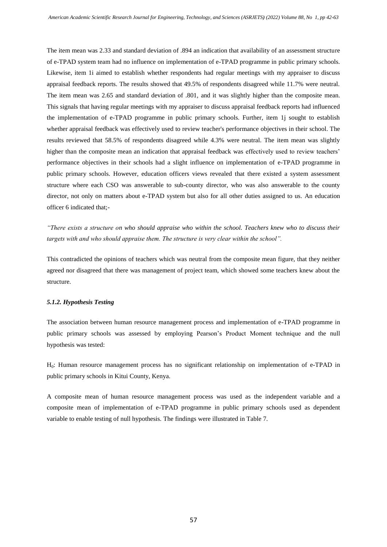The item mean was 2.33 and standard deviation of .894 an indication that availability of an assessment structure of e-TPAD system team had no influence on implementation of e-TPAD programme in public primary schools. Likewise, item 1i aimed to establish whether respondents had regular meetings with my appraiser to discuss appraisal feedback reports. The results showed that 49.5% of respondents disagreed while 11.7% were neutral. The item mean was 2.65 and standard deviation of .801, and it was slightly higher than the composite mean. This signals that having regular meetings with my appraiser to discuss appraisal feedback reports had influenced the implementation of e-TPAD programme in public primary schools. Further, item 1j sought to establish whether appraisal feedback was effectively used to review teacher's performance objectives in their school. The results reviewed that 58.5% of respondents disagreed while 4.3% were neutral. The item mean was slightly higher than the composite mean an indication that appraisal feedback was effectively used to review teachers' performance objectives in their schools had a slight influence on implementation of e-TPAD programme in public primary schools. However, education officers views revealed that there existed a system assessment structure where each CSO was answerable to sub-county director, who was also answerable to the county director, not only on matters about e-TPAD system but also for all other duties assigned to us. An education officer 6 indicated that;-

*"There exists a structure on who should appraise who within the school. Teachers knew who to discuss their targets with and who should appraise them. The structure is very clear within the school".*

This contradicted the opinions of teachers which was neutral from the composite mean figure, that they neither agreed nor disagreed that there was management of project team, which showed some teachers knew about the structure.

## *5.1.2. Hypothesis Testing*

The association between human resource management process and implementation of e-TPAD programme in public primary schools was assessed by employing Pearson's Product Moment technique and the null hypothesis was tested:

H0: Human resource management process has no significant relationship on implementation of e-TPAD in public primary schools in Kitui County, Kenya.

A composite mean of human resource management process was used as the independent variable and a composite mean of implementation of e-TPAD programme in public primary schools used as dependent variable to enable testing of null hypothesis. The findings were illustrated in Table 7.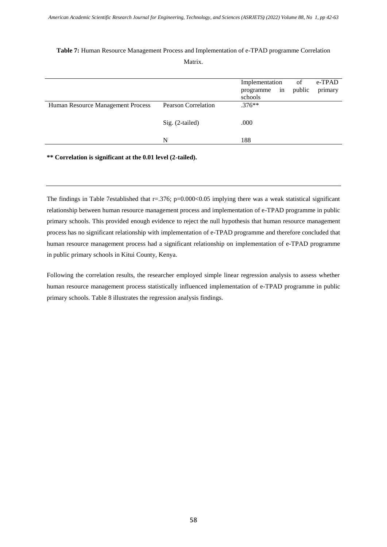|                                   |                            | Implementation<br>programme in<br>schools | of<br>public | e-TPAD<br>primary |
|-----------------------------------|----------------------------|-------------------------------------------|--------------|-------------------|
| Human Resource Management Process | <b>Pearson Correlation</b> | $.376**$                                  |              |                   |
|                                   | Sig. (2-tailed)            | .000                                      |              |                   |
|                                   | N                          | 188                                       |              |                   |

# **Table 7:** Human Resource Management Process and Implementation of e-TPAD programme Correlation Matrix.

**\*\* Correlation is significant at the 0.01 level (2-tailed).**

The findings in Table 7established that r=.376; p=0.000<0.05 implying there was a weak statistical significant relationship between human resource management process and implementation of e-TPAD programme in public primary schools. This provided enough evidence to reject the null hypothesis that human resource management process has no significant relationship with implementation of e-TPAD programme and therefore concluded that human resource management process had a significant relationship on implementation of e-TPAD programme in public primary schools in Kitui County, Kenya.

Following the correlation results, the researcher employed simple linear regression analysis to assess whether human resource management process statistically influenced implementation of e-TPAD programme in public primary schools. Table 8 illustrates the regression analysis findings.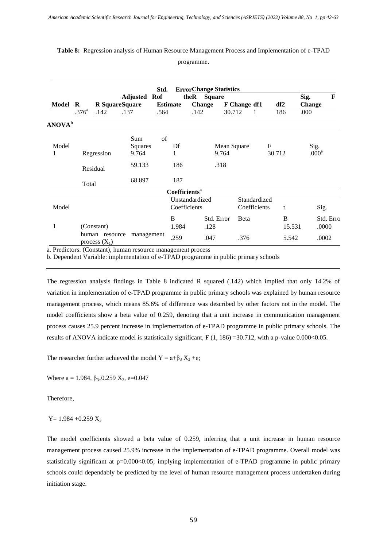|                    |                   |                                   |                     | Std. |                                 | <b>ErrorChange Statistics</b> |               |              |        |              |                       |              |
|--------------------|-------------------|-----------------------------------|---------------------|------|---------------------------------|-------------------------------|---------------|--------------|--------|--------------|-----------------------|--------------|
| Model              | R                 | R SquareSquare                    | <b>Adjusted Rof</b> |      | <b>Estimate</b>                 | theR<br><b>Change</b>         | <b>Square</b> | F Change df1 |        | df2          | Sig.<br><b>Change</b> | $\mathbf{F}$ |
|                    | .376 <sup>a</sup> | .142                              | .137                | .564 |                                 | .142                          | 30.712        |              |        | 186          | .000                  |              |
| ANOVA <sup>b</sup> |                   |                                   |                     |      |                                 |                               |               |              |        |              |                       |              |
|                    |                   |                                   | Sum                 | of   |                                 |                               |               |              |        |              |                       |              |
| Model              |                   |                                   | Squares             |      | Df                              |                               | Mean Square   |              | F      |              | Sig.                  |              |
| 1                  |                   | Regression                        | 9.764               |      | 1                               |                               | 9.764         |              | 30.712 |              | .000 <sup>a</sup>     |              |
|                    | Residual          |                                   | 59.133              |      | 186                             |                               | .318          |              |        |              |                       |              |
|                    | Total             |                                   | 68.897              |      | 187                             |                               |               |              |        |              |                       |              |
|                    |                   |                                   |                     |      | <b>Coefficients<sup>a</sup></b> |                               |               |              |        |              |                       |              |
|                    |                   |                                   |                     |      |                                 | Unstandardized                |               | Standardized |        |              |                       |              |
| Model              |                   |                                   |                     |      |                                 | Coefficients                  |               | Coefficients |        | t            | Sig.                  |              |
|                    |                   |                                   |                     |      | <sub>B</sub>                    |                               | Std. Error    | <b>B</b> eta |        | <sub>B</sub> |                       | Std. Erro    |
| 1                  |                   | (Constant)                        |                     |      | 1.984                           | .128                          |               |              |        | 15.531       | .0000                 |              |
|                    |                   | human resource<br>process $(X_1)$ | management          |      | .259                            | .047                          |               | .376         |        | 5.542        | .0002                 |              |

# **Table 8:** Regression analysis of Human Resource Management Process and Implementation of e-TPAD

programme**.**

a. Predictors: (Constant), human resource management process

b. Dependent Variable: implementation of e-TPAD programme in public primary schools

The regression analysis findings in Table 8 indicated R squared (.142) which implied that only 14.2% of variation in implementation of e-TPAD programme in public primary schools was explained by human resource management process, which means 85.6% of difference was described by other factors not in the model. The model coefficients show a beta value of 0.259, denoting that a unit increase in communication management process causes 25.9 percent increase in implementation of e-TPAD programme in public primary schools. The results of ANOVA indicate model is statistically significant, F  $(1, 186)$  =30.712, with a p-value 0.000<0.05.

The researcher further achieved the model  $Y = a + \beta_3 X_3 + e$ ;

Where  $a = 1.984$ ,  $\beta_{3=}0.259$  X<sub>3</sub>, e=0.047

Therefore,

 $Y= 1.984 + 0.259 X_3$ 

The model coefficients showed a beta value of 0.259, inferring that a unit increase in human resource management process caused 25.9% increase in the implementation of e-TPAD programme. Overall model was statistically significant at p=0.000<0.05; implying implementation of e-TPAD programme in public primary schools could dependably be predicted by the level of human resource management process undertaken during initiation stage.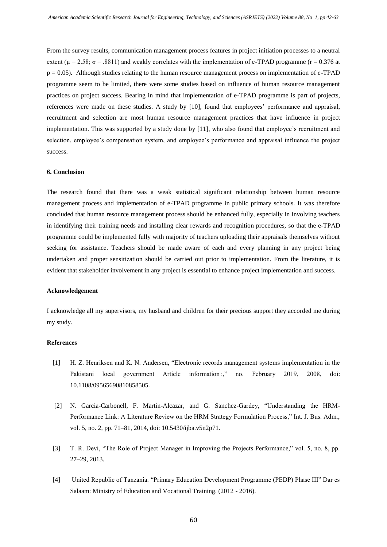From the survey results, communication management process features in project initiation processes to a neutral extent ( $\mu = 2.58$ ;  $\sigma = .8811$ ) and weakly correlates with the implementation of e-TPAD programme (r = 0.376 at  $p = 0.05$ ). Although studies relating to the human resource management process on implementation of e-TPAD programme seem to be limited, there were some studies based on influence of human resource management practices on project success. Bearing in mind that implementation of e-TPAD programme is part of projects, references were made on these studies. A study by [10], found that employees' performance and appraisal, recruitment and selection are most human resource management practices that have influence in project implementation. This was supported by a study done by [11], who also found that employee's recruitment and selection, employee's compensation system, and employee's performance and appraisal influence the project success.

#### **6. Conclusion**

The research found that there was a weak statistical significant relationship between human resource management process and implementation of e-TPAD programme in public primary schools. It was therefore concluded that human resource management process should be enhanced fully, especially in involving teachers in identifying their training needs and installing clear rewards and recognition procedures, so that the e-TPAD programme could be implemented fully with majority of teachers uploading their appraisals themselves without seeking for assistance. Teachers should be made aware of each and every planning in any project being undertaken and proper sensitization should be carried out prior to implementation. From the literature, it is evident that stakeholder involvement in any project is essential to enhance project implementation and success.

#### **Acknowledgement**

I acknowledge all my supervisors, my husband and children for their precious support they accorded me during my study.

# **References**

- [1] H. Z. Henriksen and K. N. Andersen, "Electronic records management systems implementation in the Pakistani local government Article information :," no. February 2019, 2008, doi: 10.1108/09565690810858505.
- [2] N. Garcia-Carbonell, F. Martin-Alcazar, and G. Sanchez-Gardey, "Understanding the HRM-Performance Link: A Literature Review on the HRM Strategy Formulation Process," Int. J. Bus. Adm., vol. 5, no. 2, pp. 71–81, 2014, doi: 10.5430/ijba.v5n2p71.
- [3] T. R. Devi, "The Role of Project Manager in Improving the Projects Performance," vol. 5, no. 8, pp. 27–29, 2013.
- [4] United Republic of Tanzania. "Primary Education Development Programme (PEDP) Phase III" Dar es Salaam: Ministry of Education and Vocational Training. (2012 - 2016).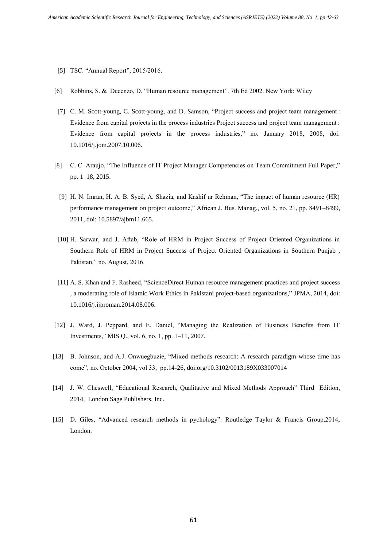- [5] TSC. "Annual Report", 2015/2016.
- [6] Robbins, S. & Decenzo, D. "Human resource management". 7th Ed 2002. New York: Wiley
- [7] C. M. Scott-young, C. Scott-young, and D. Samson, "Project success and project team management : Evidence from capital projects in the process industries Project success and project team management : Evidence from capital projects in the process industries," no. January 2018, 2008, doi: 10.1016/j.jom.2007.10.006.
- [8] C. C. Araújo, "The Influence of IT Project Manager Competencies on Team Commitment Full Paper," pp. 1–18, 2015.
- [9] H. N. Imran, H. A. B. Syed, A. Shazia, and Kashif ur Rehman, "The impact of human resource (HR) performance management on project outcome," African J. Bus. Manag., vol. 5, no. 21, pp. 8491–8499, 2011, doi: 10.5897/ajbm11.665.
- [10] H. Sarwar, and J. Aftab, "Role of HRM in Project Success of Project Oriented Organizations in Southern Role of HRM in Project Success of Project Oriented Organizations in Southern Punjab , Pakistan," no. August, 2016.
- [11] A. S. Khan and F. Rasheed, "ScienceDirect Human resource management practices and project success , a moderating role of Islamic Work Ethics in Pakistani project-based organizations," JPMA, 2014, doi: 10.1016/j.ijproman.2014.08.006.
- [12] J. Ward, J. Peppard, and E. Daniel, "Managing the Realization of Business Benefits from IT Investments," MIS Q., vol. 6, no. 1, pp. 1–11, 2007.
- [13] B. Johnson, and A.J. Onwuegbuzie, "Mixed methods research: A research paradigm whose time has come", no. October 2004, vol 33, pp.14-26, [doi:org/10.3102/0013189X033007014](https://doi.org/10.3102%2F0013189X033007014)
- [14] J. W. Cheswell, "Educational Research, Qualitative and Mixed Methods Approach" Third Edition, 2014, London Sage Publishers, Inc.
- [15] D. Giles, "Advanced research methods in pychology". Routledge Taylor & Francis Group,2014, London.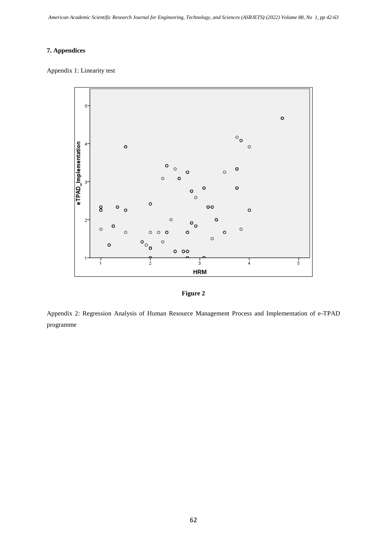# **7. Appendices**

Appendix 1: Linearity test



**Figure 2**

Appendix 2: Regression Analysis of Human Resource Management Process and Implementation of e-TPAD programme